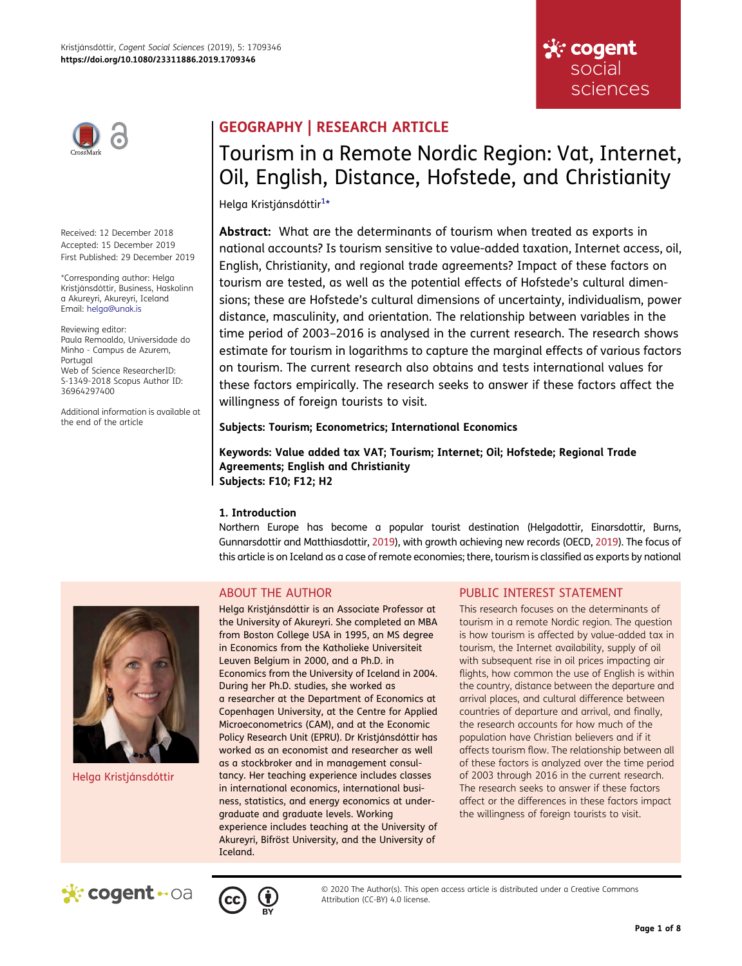

Received: 12 December 2018 Accepted: 15 December 2019 First Published: 29 December 2019

\*Corresponding author: Helga Kristjánsdóttir, Business, Haskolinn a Akureyri, Akureyri, Iceland Email: helga@unak.is

Reviewing editor: Paula Remoaldo, Universidade do Minho - Campus de Azurem, Portugal Web of Science ResearcherID: S-1349-2018 Scopus Author ID: 36964297400

Additional information is available at the end of the article

# GEOGRAPHY | RESEARCH ARTICLE

# Tourism in a Remote Nordic Region: Vat, Internet, Oil, English, Distance, Hofstede, and Christianity

<span id="page-0-0"></span>Helga Kristjánsdóttir<sup>[1](#page-6-0)</sup>\*

Abstract: What are the determinants of tourism when treated as exports in national accounts? Is tourism sensitive to value-added taxation, Internet access, oil, English, Christianity, and regional trade agreements? Impact of these factors on tourism are tested, as well as the potential effects of Hofstede's cultural dimensions; these are Hofstede's cultural dimensions of uncertainty, individualism, power distance, masculinity, and orientation. The relationship between variables in the time period of 2003–2016 is analysed in the current research. The research shows estimate for tourism in logarithms to capture the marginal effects of various factors on tourism. The current research also obtains and tests international values for these factors empirically. The research seeks to answer if these factors affect the willingness of foreign tourists to visit.

### Subjects: Tourism; Econometrics; International Economics

Keywords: Value added tax VAT; Tourism; Internet; Oil; Hofstede; Regional Trade Agreements; English and Christianity Subjects: F10; F12; H2

### 1. Introduction

<span id="page-0-1"></span>Northern Europe has become a popular tourist destination (Helgadottir, Einarsdottir, Burns, Gunnarsdottir and Matthiasdottir, [2019](#page-6-1)), with growth achieving new records (OECD, [2019\)](#page-7-0). The focus of this article is on Iceland as a case of remote economies; there, tourism is classified as exports by national

## ABOUT THE AUTHOR

Helga Kristjánsdóttir is an Associate Professor at the University of Akureyri. She completed an MBA from Boston College USA in 1995, an MS degree in Economics from the Katholieke Universiteit Leuven Belgium in 2000, and a Ph.D. in Economics from the University of Iceland in 2004. During her Ph.D. studies, she worked as a researcher at the Department of Economics at Copenhagen University, at the Centre for Applied Microeconometrics (CAM), and at the Economic Policy Research Unit (EPRU). Dr Kristjánsdóttir has worked as an economist and researcher as well as a stockbroker and in management consultancy. Her teaching experience includes classes in international economics, international business, statistics, and energy economics at undergraduate and graduate levels. Working experience includes teaching at the University of Akureyri, Bifröst University, and the University of Iceland.

### PUBLIC INTEREST STATEMENT

This research focuses on the determinants of tourism in a remote Nordic region. The question is how tourism is affected by value-added tax in tourism, the Internet availability, supply of oil with subsequent rise in oil prices impacting air flights, how common the use of English is within the country, distance between the departure and arrival places, and cultural difference between countries of departure and arrival, and finally, the research accounts for how much of the population have Christian believers and if it affects tourism flow. The relationship between all of these factors is analyzed over the time period of 2003 through 2016 in the current research. The research seeks to answer if these factors affect or the differences in these factors impact the willingness of foreign tourists to visit.

☆ cogent social

sciences



Helga Kristjánsdóttir



© 2020 The Author(s). This open access article is distributed under a Creative Commons Attribution (CC-BY) 4.0 license.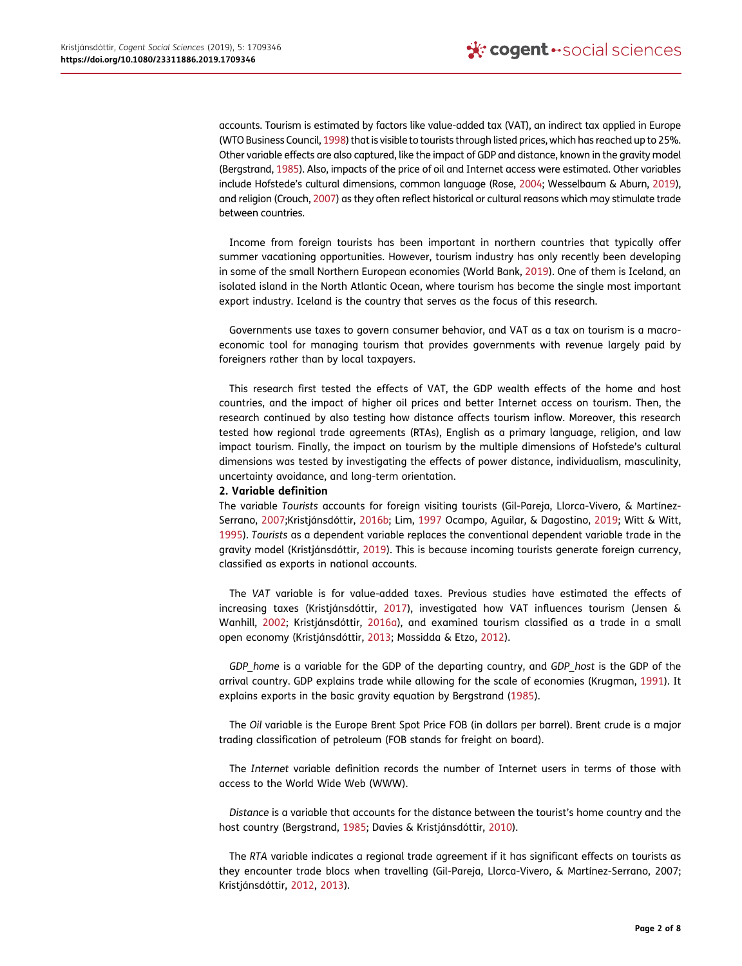<span id="page-1-11"></span><span id="page-1-9"></span>accounts. Tourism is estimated by factors like value-added tax (VAT), an indirect tax applied in Europe (WTO Business Council, [1998](#page-7-1)) that is visible to tourists through listed prices, which has reached up to 25%. Other variable effects are also captured, like the impact of GDP and distance, known in the gravity model (Bergstrand, [1985\)](#page-6-2). Also, impacts of the price of oil and Internet access were estimated. Other variables include Hofstede's cultural dimensions, common language (Rose, [2004](#page-7-2); Wesselbaum & Aburn, [2019\)](#page-7-3), and religion (Crouch, [2007\)](#page-6-3) as they often reflect historical or cultural reasons which may stimulate trade between countries.

<span id="page-1-10"></span><span id="page-1-1"></span>Income from foreign tourists has been important in northern countries that typically offer summer vacationing opportunities. However, tourism industry has only recently been developing in some of the small Northern European economies (World Bank, [2019\)](#page-7-4). One of them is Iceland, an isolated island in the North Atlantic Ocean, where tourism has become the single most important export industry. Iceland is the country that serves as the focus of this research.

Governments use taxes to govern consumer behavior, and VAT as a tax on tourism is a macroeconomic tool for managing tourism that provides governments with revenue largely paid by foreigners rather than by local taxpayers.

This research first tested the effects of VAT, the GDP wealth effects of the home and host countries, and the impact of higher oil prices and better Internet access on tourism. Then, the research continued by also testing how distance affects tourism inflow. Moreover, this research tested how regional trade agreements (RTAs), English as a primary language, religion, and law impact tourism. Finally, the impact on tourism by the multiple dimensions of Hofstede's cultural dimensions was tested by investigating the effects of power distance, individualism, masculinity, uncertainty avoidance, and long-term orientation.

### 2. Variable definition

<span id="page-1-6"></span><span id="page-1-2"></span>The variable Tourists accounts for foreign visiting tourists (Gil-Pareja, Llorca-Vivero, & Martínez-Serrano, [2007](#page-6-4);Kristjánsdóttir, [2016b](#page-6-5); Lim, [1997](#page-6-6) Ocampo, Aguilar, & Dagostino, [2019;](#page-7-5) Witt & Witt, [1995](#page-7-6)). Tourists as a dependent variable replaces the conventional dependent variable trade in the gravity model (Kristjánsdóttir, [2019](#page-6-7)). This is because incoming tourists generate foreign currency, classified as exports in national accounts.

<span id="page-1-5"></span><span id="page-1-3"></span>The VAT variable is for value-added taxes. Previous studies have estimated the effects of increasing taxes (Kristjánsdóttir, [2017](#page-6-8)), investigated how VAT influences tourism (Jensen & Wanhill, [2002](#page-6-9); Kristjánsdóttir, [2016a](#page-6-10)), and examined tourism classified as a trade in a small open economy (Kristjánsdóttir, [2013](#page-6-11); Massidda & Etzo, [2012](#page-6-12)).

<span id="page-1-8"></span><span id="page-1-7"></span>GDP home is a variable for the GDP of the departing country, and GDP host is the GDP of the arrival country. GDP explains trade while allowing for the scale of economies (Krugman, [1991](#page-6-13)). It explains exports in the basic gravity equation by Bergstrand ([1985\)](#page-6-2).

The Oil variable is the Europe Brent Spot Price FOB (in dollars per barrel). Brent crude is a major trading classification of petroleum (FOB stands for freight on board).

The Internet variable definition records the number of Internet users in terms of those with access to the World Wide Web (WWW).

<span id="page-1-0"></span>Distance is a variable that accounts for the distance between the tourist's home country and the host country (Bergstrand, [1985;](#page-6-2) Davies & Kristjánsdóttir, [2010\)](#page-6-14).

<span id="page-1-4"></span>The RTA variable indicates a regional trade agreement if it has significant effects on tourists as they encounter trade blocs when travelling (Gil-Pareja, Llorca-Vivero, & Martínez-Serrano, 2007; Kristjánsdóttir, [2012](#page-6-15), [2013\)](#page-6-11).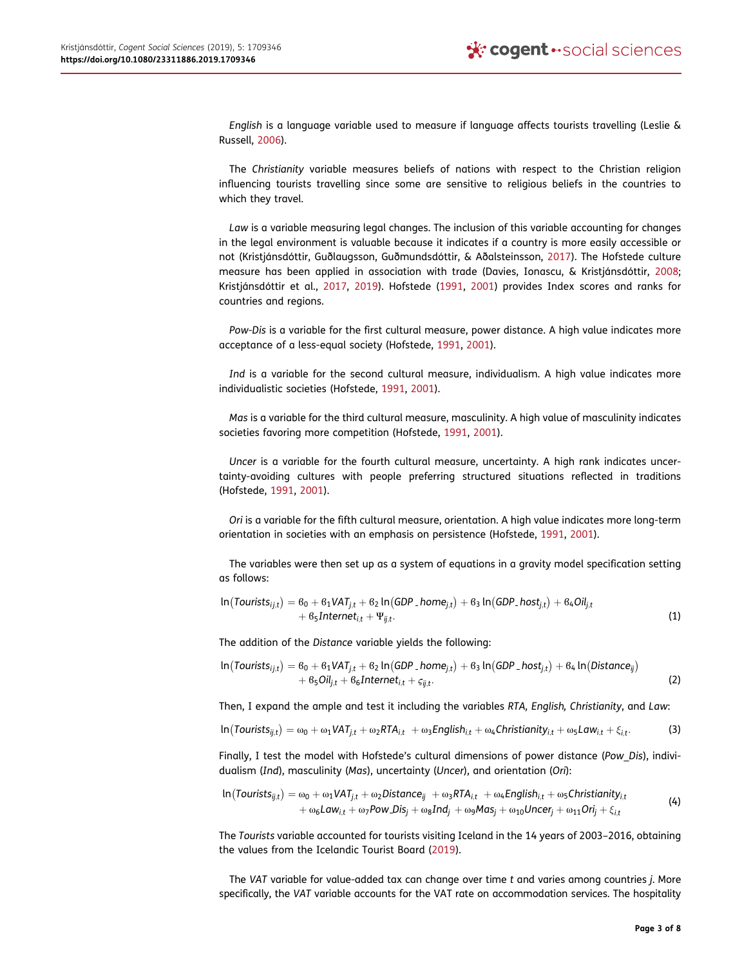<span id="page-2-4"></span>English is a language variable used to measure if language affects tourists travelling (Leslie & Russell, [2006\)](#page-6-16).

The Christianity variable measures beliefs of nations with respect to the Christian religion influencing tourists travelling since some are sensitive to religious beliefs in the countries to which they travel.

<span id="page-2-0"></span>Law is a variable measuring legal changes. The inclusion of this variable accounting for changes in the legal environment is valuable because it indicates if a country is more easily accessible or not (Kristjánsdóttir, Guðlaugsson, Guðmundsdóttir, & Aðalsteinsson, [2017](#page-6-17)). The Hofstede culture measure has been applied in association with trade (Davies, Ionascu, & Kristjánsdóttir, [2008](#page-6-18); Kristjánsdóttir et al., [2017,](#page-6-17) [2019\)](#page-6-19). Hofstede [\(1991](#page-6-20), [2001](#page-6-21)) provides Index scores and ranks for countries and regions.

<span id="page-2-3"></span>Pow-Dis is a variable for the first cultural measure, power distance. A high value indicates more acceptance of a less-equal society (Hofstede, [1991](#page-6-20), [2001\)](#page-6-21).

Ind is a variable for the second cultural measure, individualism. A high value indicates more individualistic societies (Hofstede, [1991,](#page-6-20) [2001\)](#page-6-21).

Mas is a variable for the third cultural measure, masculinity. A high value of masculinity indicates societies favoring more competition (Hofstede, [1991,](#page-6-20) [2001](#page-6-21)).

Uncer is a variable for the fourth cultural measure, uncertainty. A high rank indicates uncertainty-avoiding cultures with people preferring structured situations reflected in traditions (Hofstede, [1991,](#page-6-20) [2001\)](#page-6-21).

<span id="page-2-1"></span>Ori is a variable for the fifth cultural measure, orientation. A high value indicates more long-term orientation in societies with an emphasis on persistence (Hofstede, [1991,](#page-6-20) [2001\)](#page-6-21).

The variables were then set up as a system of equations in a gravity model specification setting as follows:

$$
\ln(Tourists_{ij,t}) = 6_0 + 6_1 VAT_{j,t} + 6_2 \ln(GDP\_home_{j,t}) + 6_3 \ln(GDP\_host_{j,t}) + 6_4 Oil_{j,t} + 6_5 Internet_{i,t} + \Psi_{ij,t}.
$$
\n(1)

The addition of the Distance variable yields the following:

$$
\ln(Tourists_{ij,t}) = 6_0 + 6_1 VAT_{j,t} + 6_2 \ln(GDP\_home_{j,t}) + 6_3 \ln(GDP\_host_{j,t}) + 6_4 \ln(Distance_{ij}) + 6_5 Oil_{j,t} + 6_6 Internet_{i,t} + c_{ij,t}.
$$
\n(2)

Then, I expand the ample and test it including the variables RTA, English, Christianity, and Law:

$$
ln(Tourists_{ij,t}) = \omega_0 + \omega_1 VAT_{j,t} + \omega_2 RTA_{i,t} + \omega_3 English_{i,t} + \omega_4Christianity_{i,t} + \omega_5 Law_{i,t} + \xi_{i,t}.
$$
 (3)

Finally, I test the model with Hofstede's cultural dimensions of power distance (Pow\_Dis), individualism (Ind), masculinity (Mas), uncertainty (Uncer), and orientation (Ori):

$$
\ln(Tourists_{ij,t}) = \omega_0 + \omega_1 VAT_{j,t} + \omega_2 Distance_{ij} + \omega_3 RTA_{i,t} + \omega_4 English_{i,t} + \omega_5Christianity_{i,t} + \omega_6 Law_{i,t} + \omega_7Pow\_Disj + \omega_8Ind_j + \omega_9 Mas_j + \omega_{10}Uncer_j + \omega_{11} Ori_j + \xi_{i,t}
$$
\n(4)

<span id="page-2-2"></span>The Tourists variable accounted for tourists visiting Iceland in the 14 years of 2003–2016, obtaining the values from the Icelandic Tourist Board ([2019](#page-6-22)).

The VAT variable for value-added tax can change over time t and varies among countries j. More specifically, the VAT variable accounts for the VAT rate on accommodation services. The hospitality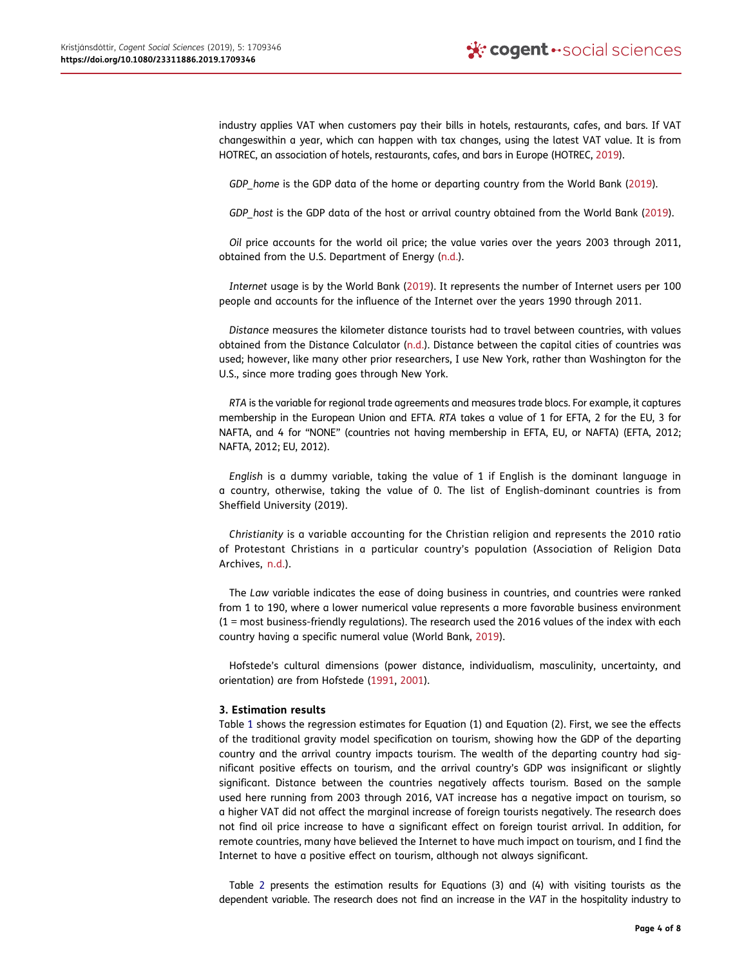<span id="page-3-2"></span>industry applies VAT when customers pay their bills in hotels, restaurants, cafes, and bars. If VAT changeswithin a year, which can happen with tax changes, using the latest VAT value. It is from HOTREC, an association of hotels, restaurants, cafes, and bars in Europe (HOTREC, [2019](#page-6-23)).

GDP home is the GDP data of the home or departing country from the World Bank [\(2019\)](#page-7-4).

GDP host is the GDP data of the host or arrival country obtained from the World Bank ([2019](#page-7-4)).

<span id="page-3-3"></span>Oil price accounts for the world oil price; the value varies over the years 2003 through 2011, obtained from the U.S. Department of Energy [\(n.d.](#page-7-7)).

Internet usage is by the World Bank [\(2019\)](#page-7-4). It represents the number of Internet users per 100 people and accounts for the influence of the Internet over the years 1990 through 2011.

<span id="page-3-1"></span>Distance measures the kilometer distance tourists had to travel between countries, with values obtained from the Distance Calculator [\(n.d.](#page-6-24)). Distance between the capital cities of countries was used; however, like many other prior researchers, I use New York, rather than Washington for the U.S., since more trading goes through New York.

RTA is the variable for regional trade agreements and measures trade blocs. For example, it captures membership in the European Union and EFTA. RTA takes a value of 1 for EFTA, 2 for the EU, 3 for NAFTA, and 4 for "NONE" (countries not having membership in EFTA, EU, or NAFTA) (EFTA, 2012; NAFTA, 2012; EU, 2012).

English is a dummy variable, taking the value of 1 if English is the dominant language in a country, otherwise, taking the value of 0. The list of English-dominant countries is from Sheffield University (2019).

<span id="page-3-0"></span>Christianity is a variable accounting for the Christian religion and represents the 2010 ratio of Protestant Christians in a particular country's population (Association of Religion Data Archives, [n.d.](#page-6-25)).

The Law variable indicates the ease of doing business in countries, and countries were ranked from 1 to 190, where a lower numerical value represents a more favorable business environment (1 = most business-friendly regulations). The research used the 2016 values of the index with each country having a specific numeral value (World Bank, [2019](#page-7-4)).

Hofstede's cultural dimensions (power distance, individualism, masculinity, uncertainty, and orientation) are from Hofstede ([1991,](#page-6-20) [2001](#page-6-21)).

### 3. Estimation results

Table [1](#page-4-0) shows the regression estimates for Equation (1) and Equation (2). First, we see the effects of the traditional gravity model specification on tourism, showing how the GDP of the departing country and the arrival country impacts tourism. The wealth of the departing country had significant positive effects on tourism, and the arrival country's GDP was insignificant or slightly significant. Distance between the countries negatively affects tourism. Based on the sample used here running from 2003 through 2016, VAT increase has a negative impact on tourism, so a higher VAT did not affect the marginal increase of foreign tourists negatively. The research does not find oil price increase to have a significant effect on foreign tourist arrival. In addition, for remote countries, many have believed the Internet to have much impact on tourism, and I find the Internet to have a positive effect on tourism, although not always significant.

Table [2](#page-4-1) presents the estimation results for Equations (3) and (4) with visiting tourists as the dependent variable. The research does not find an increase in the VAT in the hospitality industry to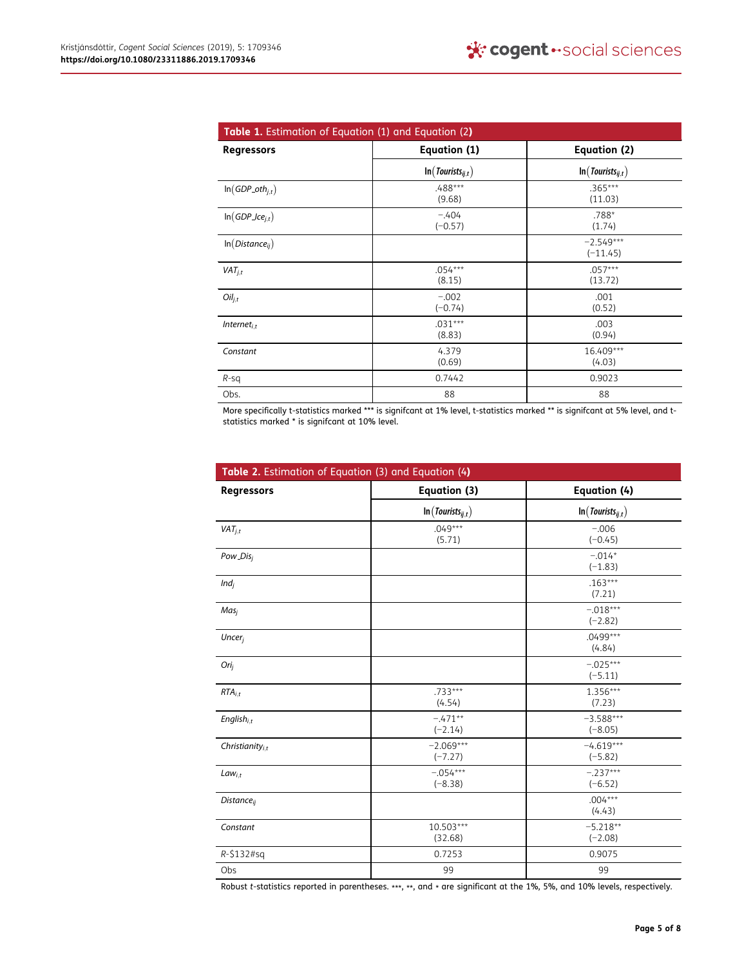<span id="page-4-0"></span>

| Table 1. Estimation of Equation (1) and Equation (2) |                        |                           |  |
|------------------------------------------------------|------------------------|---------------------------|--|
| <b>Regressors</b>                                    | Equation (1)           | Equation (2)              |  |
|                                                      | $\ln(Tourists_{ij,t})$ | $\ln(Tourists_{ij,t})$    |  |
| $\ln(GDP_0th_{j,t})$                                 | .488***<br>(9.68)      | $.365***$<br>(11.03)      |  |
| $\ln(GDP\_ice_{j,t})$                                | $-.404$<br>$(-0.57)$   | .788*<br>(1.74)           |  |
| $ln(Distance_{ii})$                                  |                        | $-2.549***$<br>$(-11.45)$ |  |
| $VAT_{i,t}$                                          | $.054***$<br>(8.15)    | $.057***$<br>(13.72)      |  |
| $Oil_{i,t}$                                          | $-.002$<br>$(-0.74)$   | .001<br>(0.52)            |  |
| Internet $_{i,t}$                                    | $.031***$<br>(8.83)    | .003<br>(0.94)            |  |
| Constant                                             | 4.379<br>(0.69)        | 16.409***<br>(4.03)       |  |
| $R-Sq$                                               | 0.7442                 | 0.9023                    |  |
| Obs.                                                 | 88                     | 88                        |  |

More specifically t-statistics marked \*\*\* is signifcant at 1% level, t-statistics marked \*\* is signifcant at 5% level, and tstatistics marked \* is signifcant at 10% level.

<span id="page-4-1"></span>

| Table 2. Estimation of Equation (3) and Equation (4) |                          |                          |
|------------------------------------------------------|--------------------------|--------------------------|
| <b>Regressors</b>                                    | Equation (3)             | Equation (4)             |
|                                                      | $\ln(Tourists_{ij,t})$   | $\ln(Tourists_{ij,t})$   |
| $VAT_{i,t}$                                          | $.049***$<br>(5.71)      | $-.006$<br>$(-0.45)$     |
| Pow_Disi                                             |                          | $-.014*$<br>$(-1.83)$    |
| $Ind_i$                                              |                          | $.163***$<br>(7.21)      |
| Mas <sub>i</sub>                                     |                          | $-.018***$<br>$(-2.82)$  |
| Uncer <sub>i</sub>                                   |                          | .0499 ***<br>(4.84)      |
| Ori <sub>i</sub>                                     |                          | $-.025***$<br>$(-5.11)$  |
| $RTA_{i,t}$                                          | $.733***$<br>(4.54)      | $1.356***$<br>(7.23)     |
| English $_{i,t}$                                     | $-.471**$<br>$(-2.14)$   | $-3.588***$<br>$(-8.05)$ |
| Christianity $_{i.t}$                                | $-2.069***$<br>$(-7.27)$ | $-4.619***$<br>$(-5.82)$ |
| $Law_{i,t}$                                          | $-.054***$<br>$(-8.38)$  | $-.237***$<br>$(-6.52)$  |
| <b>Distance</b> <sub>ii</sub>                        |                          | $.004***$<br>(4.43)      |
| Constant                                             | 10.503***<br>(32.68)     | $-5.218**$<br>$(-2.08)$  |
| $R - $132#sq$                                        | 0.7253                   | 0.9075                   |
| Obs                                                  | 99                       | 99                       |

Robust t-statistics reported in parentheses. \*\*\*, \*\*, and \* are significant at the 1%, 5%, and 10% levels, respectively.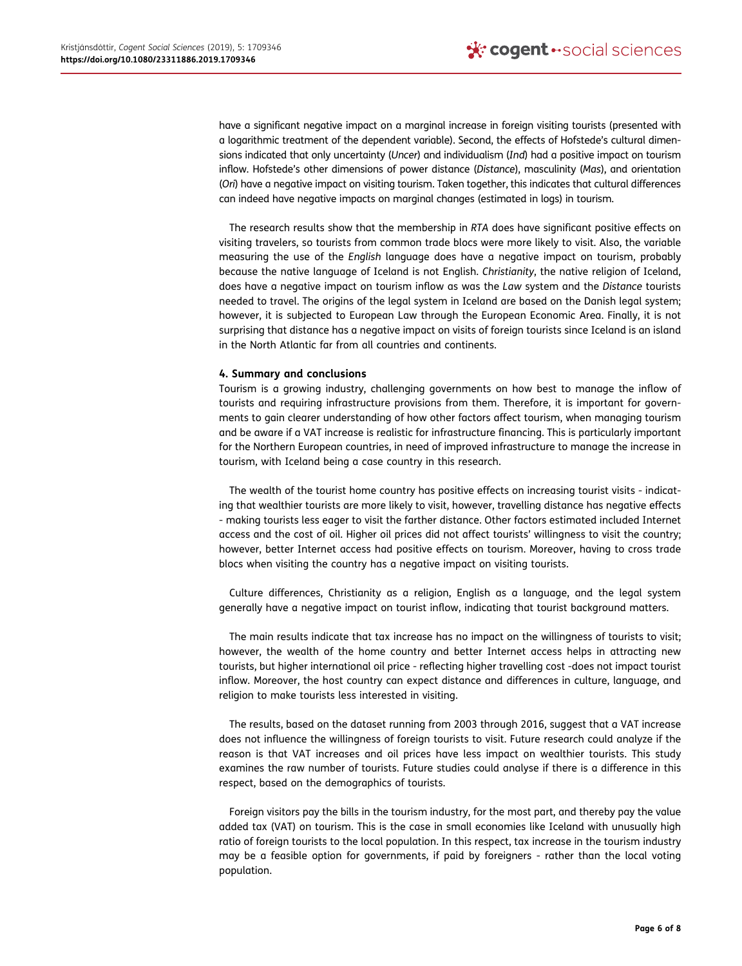have a significant negative impact on a marginal increase in foreign visiting tourists (presented with a logarithmic treatment of the dependent variable). Second, the effects of Hofstede's cultural dimensions indicated that only uncertainty (Uncer) and individualism (Ind) had a positive impact on tourism inflow. Hofstede's other dimensions of power distance (Distance), masculinity (Mas), and orientation (Ori) have a negative impact on visiting tourism. Taken together, this indicates that cultural differences can indeed have negative impacts on marginal changes (estimated in logs) in tourism.

The research results show that the membership in RTA does have significant positive effects on visiting travelers, so tourists from common trade blocs were more likely to visit. Also, the variable measuring the use of the English language does have a negative impact on tourism, probably because the native language of Iceland is not English. Christianity, the native religion of Iceland, does have a negative impact on tourism inflow as was the Law system and the Distance tourists needed to travel. The origins of the legal system in Iceland are based on the Danish legal system; however, it is subjected to European Law through the European Economic Area. Finally, it is not surprising that distance has a negative impact on visits of foreign tourists since Iceland is an island in the North Atlantic far from all countries and continents.

### 4. Summary and conclusions

Tourism is a growing industry, challenging governments on how best to manage the inflow of tourists and requiring infrastructure provisions from them. Therefore, it is important for governments to gain clearer understanding of how other factors affect tourism, when managing tourism and be aware if a VAT increase is realistic for infrastructure financing. This is particularly important for the Northern European countries, in need of improved infrastructure to manage the increase in tourism, with Iceland being a case country in this research.

The wealth of the tourist home country has positive effects on increasing tourist visits - indicating that wealthier tourists are more likely to visit, however, travelling distance has negative effects - making tourists less eager to visit the farther distance. Other factors estimated included Internet access and the cost of oil. Higher oil prices did not affect tourists' willingness to visit the country; however, better Internet access had positive effects on tourism. Moreover, having to cross trade blocs when visiting the country has a negative impact on visiting tourists.

Culture differences, Christianity as a religion, English as a language, and the legal system generally have a negative impact on tourist inflow, indicating that tourist background matters.

The main results indicate that tax increase has no impact on the willingness of tourists to visit; however, the wealth of the home country and better Internet access helps in attracting new tourists, but higher international oil price - reflecting higher travelling cost -does not impact tourist inflow. Moreover, the host country can expect distance and differences in culture, language, and religion to make tourists less interested in visiting.

The results, based on the dataset running from 2003 through 2016, suggest that a VAT increase does not influence the willingness of foreign tourists to visit. Future research could analyze if the reason is that VAT increases and oil prices have less impact on wealthier tourists. This study examines the raw number of tourists. Future studies could analyse if there is a difference in this respect, based on the demographics of tourists.

Foreign visitors pay the bills in the tourism industry, for the most part, and thereby pay the value added tax (VAT) on tourism. This is the case in small economies like Iceland with unusually high ratio of foreign tourists to the local population. In this respect, tax increase in the tourism industry may be a feasible option for governments, if paid by foreigners - rather than the local voting population.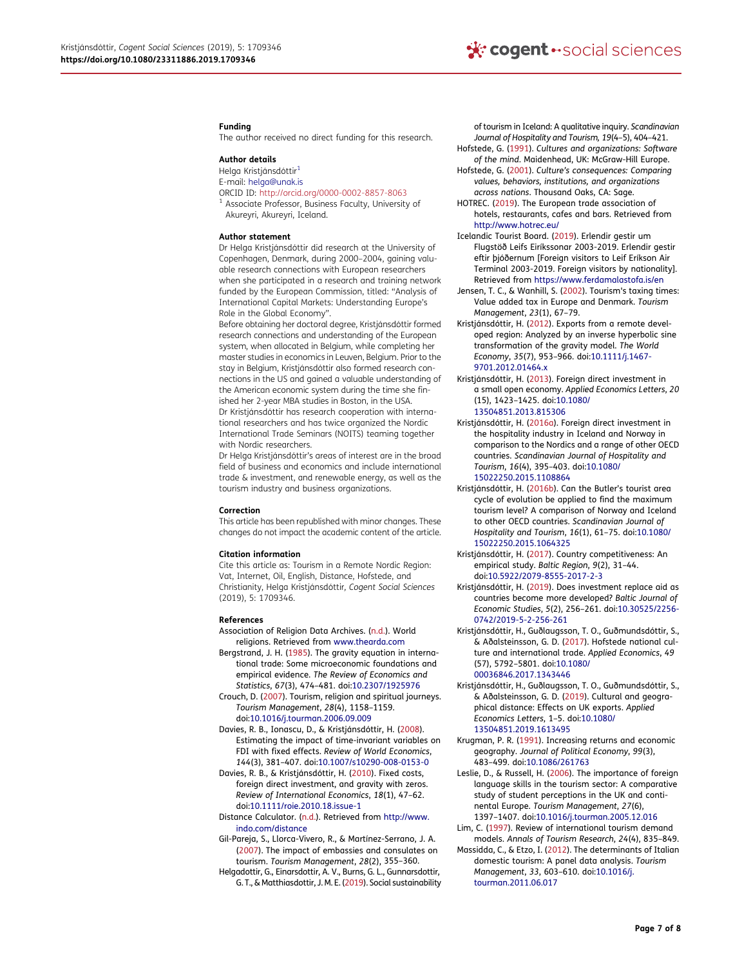#### Funding

The author received no direct funding for this research.

#### Author details

<span id="page-6-0"></span>Helga Kristjánsdóttir<sup>[1](#page-0-0)</sup>

E-mail: helga@unak.is

- ORCID ID: http://orcid.org/0000-0002-8857-8063
- $<sup>1</sup>$  Associate Professor, Business Faculty, University of</sup> Akureyri, Akureyri, Iceland.

#### Author statement

Dr Helga Kristjánsdóttir did research at the University of Copenhagen, Denmark, during 2000–2004, gaining valuable research connections with European researchers when she participated in a research and training network funded by the European Commission, titled: "Analysis of International Capital Markets: Understanding Europe's Role in the Global Economy".

Before obtaining her doctoral degree, Kristjánsdóttir formed research connections and understanding of the European system, when allocated in Belgium, while completing her master studies in economics in Leuven, Belgium. Prior to the stay in Belgium, Kristjánsdóttir also formed research connections in the US and gained a valuable understanding of the American economic system during the time she finished her 2-year MBA studies in Boston, in the USA. Dr Kristjánsdóttir has research cooperation with international researchers and has twice organized the Nordic International Trade Seminars (NOITS) teaming together with Nordic researchers.

Dr Helga Kristjánsdóttir's areas of interest are in the broad field of business and economics and include international trade & investment, and renewable energy, as well as the tourism industry and business organizations.

#### Correction

This article has been republished with minor changes. These changes do not impact the academic content of the article.

#### Citation information

Cite this article as: Tourism in a Remote Nordic Region: Vat, Internet, Oil, English, Distance, Hofstede, and Christianity, Helga Kristjánsdóttir, Cogent Social Sciences (2019), 5: 1709346.

#### References

- <span id="page-6-25"></span>Association of Religion Data Archives. ([n.d.](#page-3-0)). World religions. Retrieved from [www.thearda.com](http://www.thearda.com)
- <span id="page-6-2"></span>Bergstrand, J. H. ([1985\)](#page-1-0). The gravity equation in international trade: Some microeconomic foundations and empirical evidence. The Review of Economics and Statistics, 67(3), 474–481. doi:[10.2307/1925976](https://doi.org/10.2307/1925976)
- <span id="page-6-3"></span>Crouch, D. [\(2007](#page-1-1)). Tourism, religion and spiritual journeys. Tourism Management, 28(4), 1158–1159. doi:[10.1016/j.tourman.2006.09.009](https://doi.org/10.1016/j.tourman.2006.09.009)
- <span id="page-6-18"></span>Davies, R. B., Ionascu, D., & Kristjánsdóttir, H. ([2008\)](#page-2-0). Estimating the impact of time-invariant variables on FDI with fixed effects. Review of World Economics, 144(3), 381–407. doi:[10.1007/s10290-008-0153-0](https://doi.org/10.1007/s10290-008-0153-0)
- <span id="page-6-14"></span>Davies, R. B., & Kristjánsdóttir, H. [\(2010](#page-1-0)). Fixed costs, foreign direct investment, and gravity with zeros. Review of International Economics, 18(1), 47–62. doi:[10.1111/roie.2010.18.issue-1](https://doi.org/10.1111/roie.2010.18.issue-1)
- <span id="page-6-24"></span>Distance Calculator. [\(n.d.](#page-3-1)). Retrieved from [http://www.](http://www.indo.com/distance) [indo.com/distance](http://www.indo.com/distance)
- <span id="page-6-4"></span>Gil-Pareja, S., Llorca-Vivero, R., & Martínez-Serrano, J. A. [\(2007](#page-1-2)). The impact of embassies and consulates on tourism. Tourism Management, 28(2), 355–360.
- <span id="page-6-1"></span>Helgadottir, G., Einarsdottir, A. V., Burns, G. L., Gunnarsdottir, G. T., & Matthiasdottir, J. M. E. [\(2019\)](#page-0-1). Social sustainability

of tourism in Iceland: A qualitative inquiry. Scandinavian Journal of Hospitality and Tourism, 19(4–5), 404–421. Hofstede, G. ([1991\)](#page-2-1). Cultures and organizations: Software

- <span id="page-6-21"></span><span id="page-6-20"></span>of the mind. Maidenhead, UK: McGraw-Hill Europe. Hofstede, G. ([2001\)](#page-2-1). Culture's consequences: Comparing
- values, behaviors, institutions, and organizations across nations. Thousand Oaks, CA: Sage.
- <span id="page-6-23"></span>HOTREC. ([2019\)](#page-3-2). The European trade association of hotels, restaurants, cafes and bars. Retrieved from <http://www.hotrec.eu/>
- <span id="page-6-22"></span>Icelandic Tourist Board. [\(2019](#page-2-2)). Erlendir gestir um Flugstöð Leifs Eiríkssonar 2003-2019. Erlendir gestir eftir þjóðernum [Foreign visitors to Leif Eríkson Air Terminal 2003-2019. Foreign visitors by nationality]. Retrieved from <https://www.ferdamalastofa.is/en>
- <span id="page-6-9"></span>Jensen, T. C., & Wanhill, S. [\(2002](#page-1-3)). Tourism's taxing times: Value added tax in Europe and Denmark. Tourism Management, 23(1), 67–79.
- <span id="page-6-15"></span>Kristjánsdóttir, H. ([2012\)](#page-1-4). Exports from a remote developed region: Analyzed by an inverse hyperbolic sine transformation of the gravity model. The World Economy, 35(7), 953–966. doi:[10.1111/j.1467-](https://doi.org/10.1111/j.1467-9701.2012.01464.x) [9701.2012.01464.x](https://doi.org/10.1111/j.1467-9701.2012.01464.x)
- <span id="page-6-11"></span>Kristjánsdóttir, H. ([2013\)](#page-1-4). Foreign direct investment in a small open economy. Applied Economics Letters, 20 (15), 1423–1425. doi:[10.1080/](https://doi.org/10.1080/13504851.2013.815306) [13504851.2013.815306](https://doi.org/10.1080/13504851.2013.815306)
- <span id="page-6-10"></span>Kristjánsdóttir, H. ([2016a\)](#page-1-3). Foreign direct investment in the hospitality industry in Iceland and Norway in comparison to the Nordics and a range of other OECD countries. Scandinavian Journal of Hospitality and Tourism, 16(4), 395–403. doi:[10.1080/](https://doi.org/10.1080/15022250.2015.1108864) [15022250.2015.1108864](https://doi.org/10.1080/15022250.2015.1108864)
- <span id="page-6-5"></span>Kristjánsdóttir, H. ([2016b\)](#page-1-2). Can the Butler's tourist area cycle of evolution be applied to find the maximum tourism level? A comparison of Norway and Iceland to other OECD countries. Scandinavian Journal of Hospitality and Tourism, 16(1), 61–75. doi:[10.1080/](https://doi.org/10.1080/15022250.2015.1064325) [15022250.2015.1064325](https://doi.org/10.1080/15022250.2015.1064325)
- <span id="page-6-8"></span>Kristjánsdóttir, H. ([2017\)](#page-1-5). Country competitiveness: An empirical study. Baltic Region, 9(2), 31–44. doi:[10.5922/2079-8555-2017-2-3](https://doi.org/10.5922/2079-8555-2017-2-3)
- <span id="page-6-7"></span>Kristjánsdóttir, H. ([2019\)](#page-1-6). Does investment replace aid as countries become more developed? Baltic Journal of Economic Studies, 5(2), 256–261. doi:[10.30525/2256-](https://doi.org/10.30525/2256-0742/2019-5-2-256-261) [0742/2019-5-2-256-261](https://doi.org/10.30525/2256-0742/2019-5-2-256-261)
- <span id="page-6-17"></span>Kristjánsdóttir, H., Guðlaugsson, T. O., Guðmundsdóttir, S., & Aðalsteinsson, G. D. [\(2017](#page-2-3)). Hofstede national culture and international trade. Applied Economics, 49 (57), 5792–5801. doi:[10.1080/](https://doi.org/10.1080/00036846.2017.1343446) [00036846.2017.1343446](https://doi.org/10.1080/00036846.2017.1343446)
- <span id="page-6-19"></span>Kristjánsdóttir, H., Guðlaugsson, T. O., Guðmundsdóttir, S., & Aðalsteinsson, G. D. [\(2019](#page-2-3)). Cultural and geographical distance: Effects on UK exports. Applied Economics Letters, 1–5. doi:[10.1080/](https://doi.org/10.1080/13504851.2019.1613495) [13504851.2019.1613495](https://doi.org/10.1080/13504851.2019.1613495)
- <span id="page-6-13"></span>Krugman, P. R. ([1991\)](#page-1-7). Increasing returns and economic geography. Journal of Political Economy, 99(3), 483–499. doi:[10.1086/261763](https://doi.org/10.1086/261763)
- <span id="page-6-16"></span>Leslie, D., & Russell, H. ([2006\)](#page-2-4). The importance of foreign language skills in the tourism sector: A comparative study of student perceptions in the UK and continental Europe. Tourism Management, 27(6), 1397–1407. doi:[10.1016/j.tourman.2005.12.016](https://doi.org/10.1016/j.tourman.2005.12.016)
- <span id="page-6-6"></span>Lim, C. [\(1997](#page-1-2)). Review of international tourism demand models. Annals of Tourism Research, 24(4), 835–849.
- <span id="page-6-12"></span>Massidda, C., & Etzo, I. ([2012\)](#page-1-8). The determinants of Italian domestic tourism: A panel data analysis. Tourism Management, 33, 603–610. doi:[10.1016/j.](https://doi.org/10.1016/j.tourman.2011.06.017) [tourman.2011.06.017](https://doi.org/10.1016/j.tourman.2011.06.017)